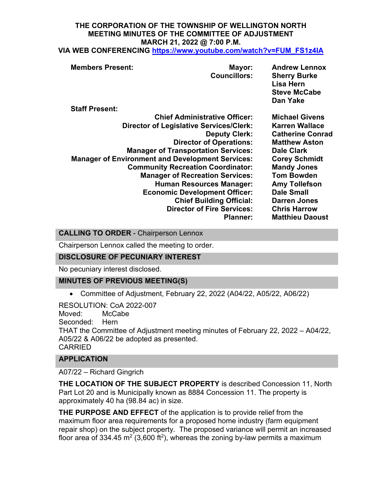# **THE CORPORATION OF THE TOWNSHIP OF WELLINGTON NORTH MEETING MINUTES OF THE COMMITTEE OF ADJUSTMENT MARCH 21, 2022 @ 7:00 P.M.**

| VIA WEB CONFERENCING https://www.youtube.com/watch?v=FUM_FS1z4IA |  |
|------------------------------------------------------------------|--|
|------------------------------------------------------------------|--|

| <b>Members Present:</b> | Mayor:                                                  | <b>Andrew Lennox</b>    |
|-------------------------|---------------------------------------------------------|-------------------------|
|                         | <b>Councillors:</b>                                     | <b>Sherry Burke</b>     |
|                         |                                                         | Lisa Hern               |
|                         |                                                         | <b>Steve McCabe</b>     |
|                         |                                                         | Dan Yake                |
| <b>Staff Present:</b>   |                                                         |                         |
|                         | <b>Chief Administrative Officer:</b>                    | <b>Michael Givens</b>   |
|                         | <b>Director of Legislative Services/Clerk:</b>          | <b>Karren Wallace</b>   |
|                         | <b>Deputy Clerk:</b>                                    | <b>Catherine Conrad</b> |
|                         | <b>Director of Operations:</b>                          | <b>Matthew Aston</b>    |
|                         | <b>Manager of Transportation Services:</b>              | <b>Dale Clark</b>       |
|                         | <b>Manager of Environment and Development Services:</b> | <b>Corey Schmidt</b>    |
|                         | <b>Community Recreation Coordinator:</b>                | <b>Mandy Jones</b>      |
|                         | <b>Manager of Recreation Services:</b>                  | <b>Tom Bowden</b>       |
|                         | <b>Human Resources Manager:</b>                         | <b>Amy Tollefson</b>    |
|                         | <b>Economic Development Officer:</b>                    | <b>Dale Small</b>       |
|                         | <b>Chief Building Official:</b>                         | <b>Darren Jones</b>     |
|                         | <b>Director of Fire Services:</b>                       | <b>Chris Harrow</b>     |
|                         | <b>Planner:</b>                                         | <b>Matthieu Daoust</b>  |
|                         |                                                         |                         |

**CALLING TO ORDER** - Chairperson Lennox

Chairperson Lennox called the meeting to order.

## **DISCLOSURE OF PECUNIARY INTEREST**

No pecuniary interest disclosed.

## **MINUTES OF PREVIOUS MEETING(S)**

• Committee of Adjustment, February 22, 2022 (A04/22, A05/22, A06/22)

RESOLUTION: CoA 2022-007 Moved: McCabe Seconded: Hern THAT the Committee of Adjustment meeting minutes of February 22, 2022 – A04/22, A05/22 & A06/22 be adopted as presented. CARRIED

# **APPLICATION**

A07/22 – Richard Gingrich

**THE LOCATION OF THE SUBJECT PROPERTY** is described Concession 11, North Part Lot 20 and is Municipally known as 8884 Concession 11. The property is approximately 40 ha (98.84 ac) in size.

**THE PURPOSE AND EFFECT** of the application is to provide relief from the maximum floor area requirements for a proposed home industry (farm equipment repair shop) on the subject property. The proposed variance will permit an increased floor area of 334.45 m<sup>2</sup> (3,600 ft<sup>2</sup>), whereas the zoning by-law permits a maximum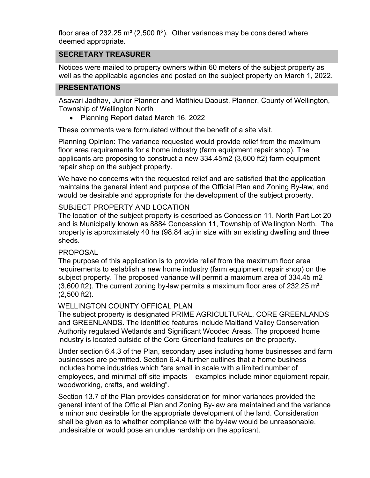floor area of 232.25 m<sup>2</sup> (2,500 ft<sup>2</sup>). Other variances may be considered where deemed appropriate.

# **SECRETARY TREASURER**

Notices were mailed to property owners within 60 meters of the subject property as well as the applicable agencies and posted on the subject property on March 1, 2022.

### **PRESENTATIONS**

Asavari Jadhav, Junior Planner and Matthieu Daoust, Planner, County of Wellington, Township of Wellington North

• Planning Report dated March 16, 2022

These comments were formulated without the benefit of a site visit.

Planning Opinion: The variance requested would provide relief from the maximum floor area requirements for a home industry (farm equipment repair shop). The applicants are proposing to construct a new 334.45m2 (3,600 ft2) farm equipment repair shop on the subject property.

We have no concerns with the requested relief and are satisfied that the application maintains the general intent and purpose of the Official Plan and Zoning By-law, and would be desirable and appropriate for the development of the subject property.

### SUBJECT PROPERTY AND LOCATION

The location of the subject property is described as Concession 11, North Part Lot 20 and is Municipally known as 8884 Concession 11, Township of Wellington North. The property is approximately 40 ha (98.84 ac) in size with an existing dwelling and three sheds.

#### PROPOSAL

The purpose of this application is to provide relief from the maximum floor area requirements to establish a new home industry (farm equipment repair shop) on the subject property. The proposed variance will permit a maximum area of 334.45 m2  $(3,600$  ft2). The current zoning by-law permits a maximum floor area of 232.25 m<sup>2</sup> (2,500 ft2).

#### WELLINGTON COUNTY OFFICAL PLAN

The subject property is designated PRIME AGRICULTURAL, CORE GREENLANDS and GREENLANDS. The identified features include Maitland Valley Conservation Authority regulated Wetlands and Significant Wooded Areas. The proposed home industry is located outside of the Core Greenland features on the property.

Under section 6.4.3 of the Plan, secondary uses including home businesses and farm businesses are permitted. Section 6.4.4 further outlines that a home business includes home industries which "are small in scale with a limited number of employees, and minimal off-site impacts – examples include minor equipment repair, woodworking, crafts, and welding".

Section 13.7 of the Plan provides consideration for minor variances provided the general intent of the Official Plan and Zoning By-law are maintained and the variance is minor and desirable for the appropriate development of the land. Consideration shall be given as to whether compliance with the by-law would be unreasonable, undesirable or would pose an undue hardship on the applicant.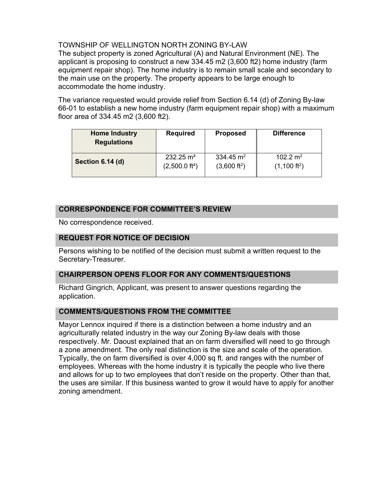## TOWNSHIP OF WELLINGTON NORTH ZONING BY-LAW

The subject property is zoned Agricultural (A) and Natural Environment (NE). The applicant is proposing to construct a new 334.45 m2 (3,600 ft2) home industry (farm equipment repair shop). The home industry is to remain small scale and secondary to the main use on the property. The property appears to be large enough to accommodate the home industry.

The variance requested would provide relief from Section 6.14 (d) of Zoning By-law 66-01 to establish a new home industry (farm equipment repair shop) with a maximum floor area of 334.45 m2 (3,600 ft2).

| <b>Home Industry</b><br><b>Regulations</b> | <b>Required</b>          | <b>Proposed</b>        | <b>Difference</b>      |
|--------------------------------------------|--------------------------|------------------------|------------------------|
| Section 6.14 (d)                           | $232.25 \text{ m}^2$     | 334.45 $\rm m^2$       | 102.2 $m^2$            |
|                                            | $(2,500.0 \text{ ft}^2)$ | $(3,600 \text{ ft}^2)$ | $(1,100 \text{ ft}^2)$ |

## **CORRESPONDENCE FOR COMMITTEE'S REVIEW**

No correspondence received.

### **REQUEST FOR NOTICE OF DECISION**

Persons wishing to be notified of the decision must submit a written request to the Secretary-Treasurer.

#### **CHAIRPERSON OPENS FLOOR FOR ANY COMMENTS/QUESTIONS**

Richard Gingrich, Applicant, was present to answer questions regarding the application.

#### **COMMENTS/QUESTIONS FROM THE COMMITTEE**

Mayor Lennox inquired if there is a distinction between a home industry and an agriculturally related industry in the way our Zoning By-law deals with those respectively. Mr. Daoust explained that an on farm diversified will need to go through a zone amendment. The only real distinction is the size and scale of the operation. Typically, the on farm diversified is over 4,000 sq ft. and ranges with the number of employees. Whereas with the home industry it is typically the people who live there and allows for up to two employees that don't reside on the property. Other than that, the uses are similar. If this business wanted to grow it would have to apply for another zoning amendment.